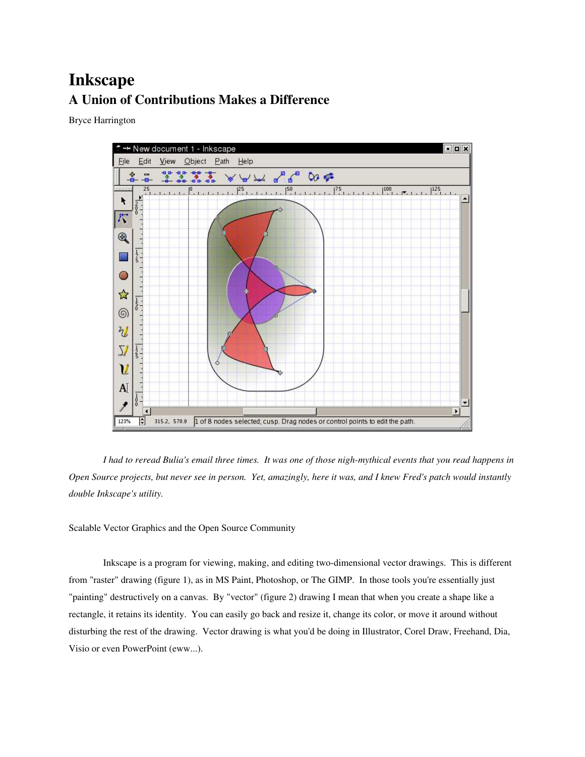## Inkscape A Union of Contributions Makes a Difference

Bryce Harrington



*I had to reread Bulia's email three times. It was one of those nigh-mythical events that you read happens in Open Source projects, but never see in person. Yet, amazingly, here it was, and I knew Fred's patch would instantly double Inkscape's utility.*

Scalable Vector Graphics and the Open Source Community

Inkscape is a program for viewing, making, and editing two-dimensional vector drawings. This is different from "raster" drawing (figure 1), as in MS Paint, Photoshop, or The GIMP. In those tools you're essentially just "painting" destructively on a canvas. By "vector" (figure 2) drawing I mean that when you create a shape like a rectangle, it retains its identity. You can easily go back and resize it, change its color, or move it around without disturbing the rest of the drawing. Vector drawing is what you'd be doing in Illustrator, Corel Draw, Freehand, Dia, Visio or even PowerPoint (eww...).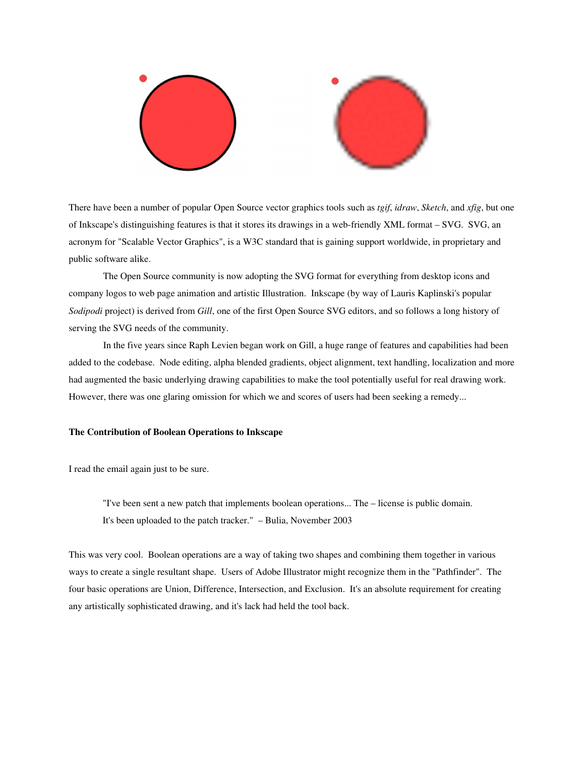

There have been a number of popular Open Source vector graphics tools such as *tgif*, *idraw*, *Sketch*, and *xfig*, but one of Inkscape's distinguishing features is that it stores its drawings in a web-friendly XML format – SVG. SVG, an acronym for "Scalable Vector Graphics", is a W3C standard that is gaining support worldwide, in proprietary and public software alike.

The Open Source community is now adopting the SVG format for everything from desktop icons and company logos to web page animation and artistic Illustration. Inkscape (by way of Lauris Kaplinski's popular *Sodipodi* project) is derived from *Gill*, one of the first Open Source SVG editors, and so follows a long history of serving the SVG needs of the community.

In the five years since Raph Levien began work on Gill, a huge range of features and capabilities had been added to the codebase. Node editing, alpha blended gradients, object alignment, text handling, localization and more had augmented the basic underlying drawing capabilities to make the tool potentially useful for real drawing work. However, there was one glaring omission for which we and scores of users had been seeking a remedy...

## The Contribution of Boolean Operations to Inkscape

I read the email again just to be sure.

"I've been sent a new patch that implements boolean operations... The – license is public domain. It's been uploaded to the patch tracker." – Bulia, November 2003

This was very cool. Boolean operations are a way of taking two shapes and combining them together in various ways to create a single resultant shape. Users of Adobe Illustrator might recognize them in the "Pathfinder". The four basic operations are Union, Difference, Intersection, and Exclusion. It's an absolute requirement for creating any artistically sophisticated drawing, and it's lack had held the tool back.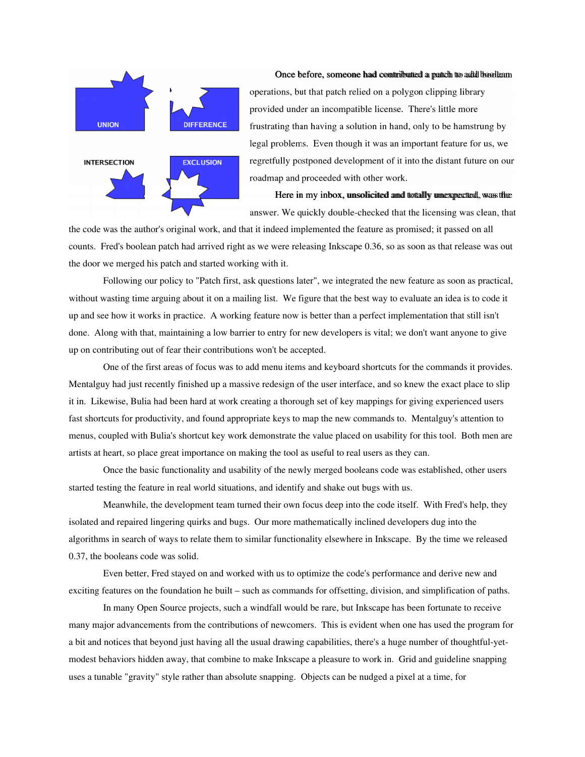

## Once before, someone had contributed a patch to add boolean

operations, but that patch relied on a polygon clipping library provided under an incompatible license. There's little more frustrating than having a solution in hand, only to be hamstrung by legal problems. Even though it was an important feature for us, we regretfully postponed development of it into the distant future on our roadmap and proceeded with other work.

Here in my inbox, unsolicited and totally unexpected, was the answer. We quickly double-checked that the licensing was clean, that

the code was the author's original work, and that it indeed implemented the feature as promised; it passed on all counts. Fred's boolean patch had arrived right as we were releasing Inkscape 0.36, so as soon as that release was out the door we merged his patch and started working with it.

Following our policy to "Patch first, ask questions later", we integrated the new feature as soon as practical, without wasting time arguing about it on a mailing list. We figure that the best way to evaluate an idea is to code it up and see how it works in practice. A working feature now is better than a perfect implementation that still isn't done. Along with that, maintaining a low barrier to entry for new developers is vital; we don't want anyone to give up on contributing out of fear their contributions won't be accepted.

One of the first areas of focus was to add menu items and keyboard shortcuts for the commands it provides. Mentalguy had just recently finished up a massive redesign of the user interface, and so knew the exact place to slip it in. Likewise, Bulia had been hard at work creating a thorough set of key mappings for giving experienced users fast shortcuts for productivity, and found appropriate keys to map the new commands to. Mentalguy's attention to menus, coupled with Bulia's shortcut key work demonstrate the value placed on usability for this tool. Both men are artists at heart, so place great importance on making the tool as useful to real users as they can.

Once the basic functionality and usability of the newly merged booleans code was established, other users started testing the feature in real world situations, and identify and shake out bugs with us.

Meanwhile, the development team turned their own focus deep into the code itself. With Fred's help, they isolated and repaired lingering quirks and bugs. Our more mathematically inclined developers dug into the algorithms in search of ways to relate them to similar functionality elsewhere in Inkscape. By the time we released 0.37, the booleans code was solid.

Even better, Fred stayed on and worked with us to optimize the code's performance and derive new and exciting features on the foundation he built – such as commands for offsetting, division, and simplification of paths.

In many Open Source projects, such a windfall would be rare, but Inkscape has been fortunate to receive many major advancements from the contributions of newcomers. This is evident when one has used the program for a bit and notices that beyond just having all the usual drawing capabilities, there's a huge number of thoughtful-yetmodest behaviors hidden away, that combine to make Inkscape a pleasure to work in. Grid and guideline snapping uses a tunable "gravity" style rather than absolute snapping. Objects can be nudged a pixel at a time, for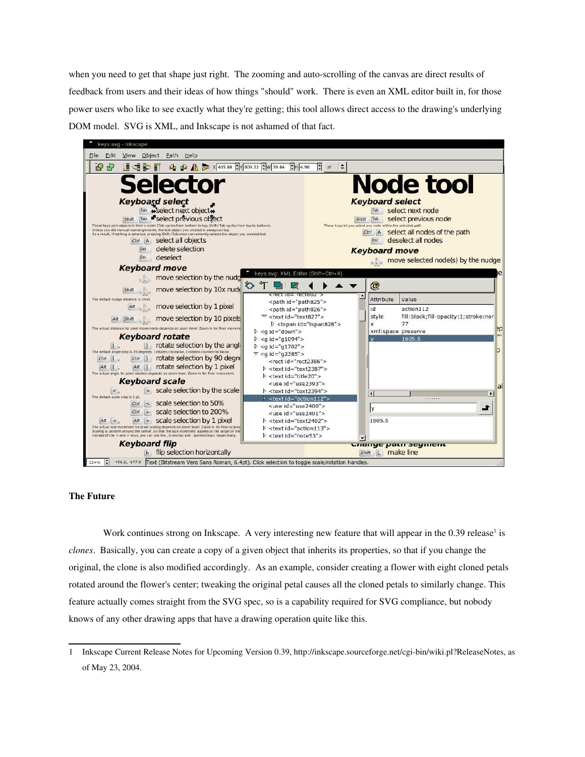when you need to get that shape just right. The zooming and auto-scrolling of the canvas are direct results of feedback from users and their ideas of how things "should" work. There is even an XML editor built in, for those power users who like to see exactly what they're getting; this tool allows direct access to the drawing's underlying DOM model. SVG is XML, and Inkscape is not ashamed of that fact.



## The Future

Work continues strong on Inkscape. A very interesting new feature that will appear in the 0.39 release<sup>1</sup> is *clones*. Basically, you can create a copy of a given object that inherits its properties, so that if you change the original, the clone is also modified accordingly. As an example, consider creating a flower with eight cloned petals rotated around the flower's center; tweaking the original petal causes all the cloned petals to similarly change. This feature actually comes straight from the SVG spec, so is a capability required for SVG compliance, but nobody knows of any other drawing apps that have a drawing operation quite like this.

<sup>1</sup> Inkscape Current Release Notes for Upcoming Version 0.39, http://inkscape.sourceforge.net/cgi-bin/wiki.pl?ReleaseNotes, as of May 23, 2004.